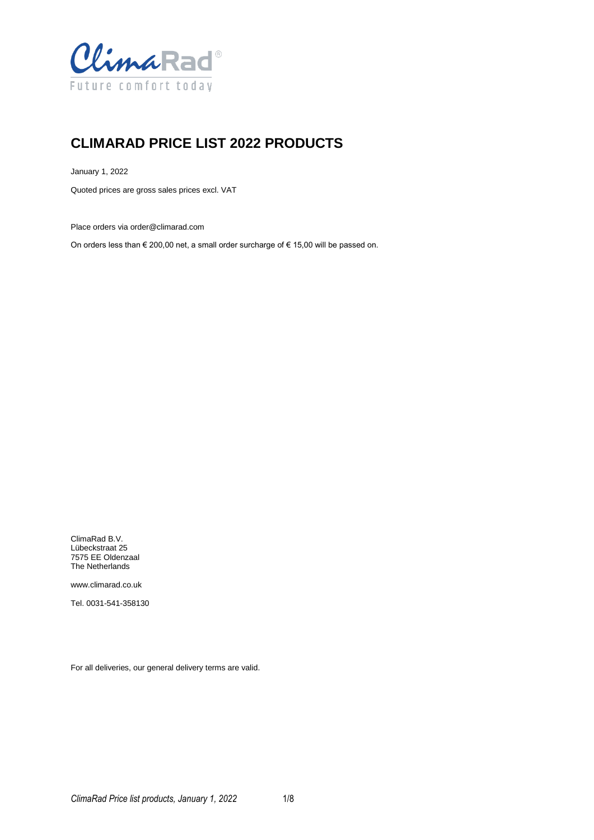

# **CLIMARAD PRICE LIST 2022 PRODUCTS**

January 1, 2022

Quoted prices are gross sales prices excl. VAT

Place orders via order@climarad.com

On orders less than  $\epsilon$  200,00 net, a small order surcharge of  $\epsilon$  15,00 will be passed on.

ClimaRad B.V. Lübeckstraat 25 7575 EE Oldenzaal The Netherlands

www.climarad.co.uk

Tel. 0031-541-358130

For all deliveries, our general delivery terms are valid.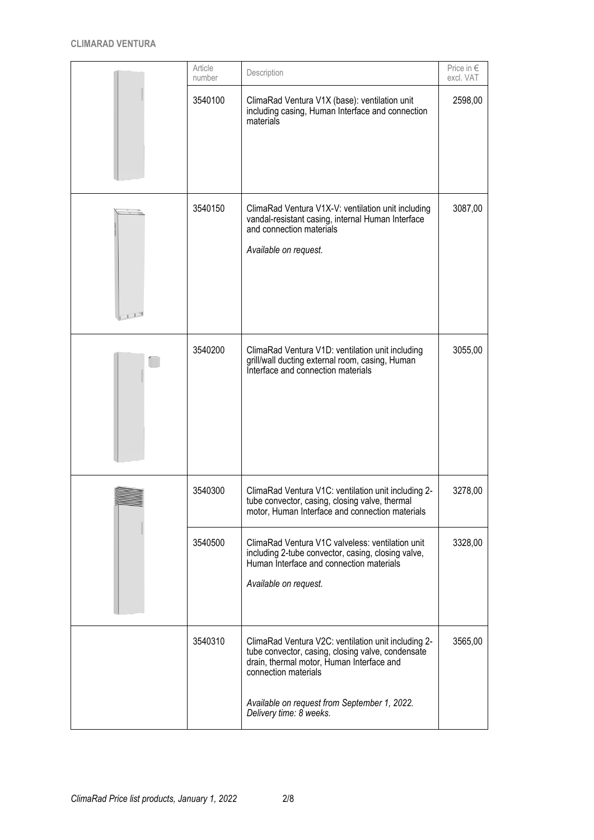| Article<br>number | Description                                                                                                                                                                                                                   | Price in $\in$<br>excl. VAT |
|-------------------|-------------------------------------------------------------------------------------------------------------------------------------------------------------------------------------------------------------------------------|-----------------------------|
| 3540100           | ClimaRad Ventura V1X (base): ventilation unit<br>including casing, Human Interface and connection<br>materials                                                                                                                | 2598,00                     |
| 3540150           | ClimaRad Ventura V1X-V: ventilation unit including<br>vandal-resistant casing, internal Human Interface<br>and connection materials<br>Available on request.                                                                  | 3087,00                     |
| 3540200           | ClimaRad Ventura V1D: ventilation unit including<br>grill/wall ducting external room, casing, Human<br>Interface and connection materials                                                                                     | 3055,00                     |
| 3540300           | ClimaRad Ventura V1C: ventilation unit including 2-<br>tube convector, casing, closing valve, thermal<br>motor, Human Interface and connection materials                                                                      | 3278,00                     |
| 3540500           | ClimaRad Ventura V1C valveless: ventilation unit<br>including 2-tube convector, casing, closing valve,<br>Human Interface and connection materials<br>Available on request.                                                   | 3328,00                     |
| 3540310           | ClimaRad Ventura V2C: ventilation unit including 2-<br>tube convector, casing, closing valve, condensate<br>drain, thermal motor, Human Interface and<br>connection materials<br>Available on request from September 1, 2022. | 3565,00                     |
|                   | Delivery time: 8 weeks.                                                                                                                                                                                                       |                             |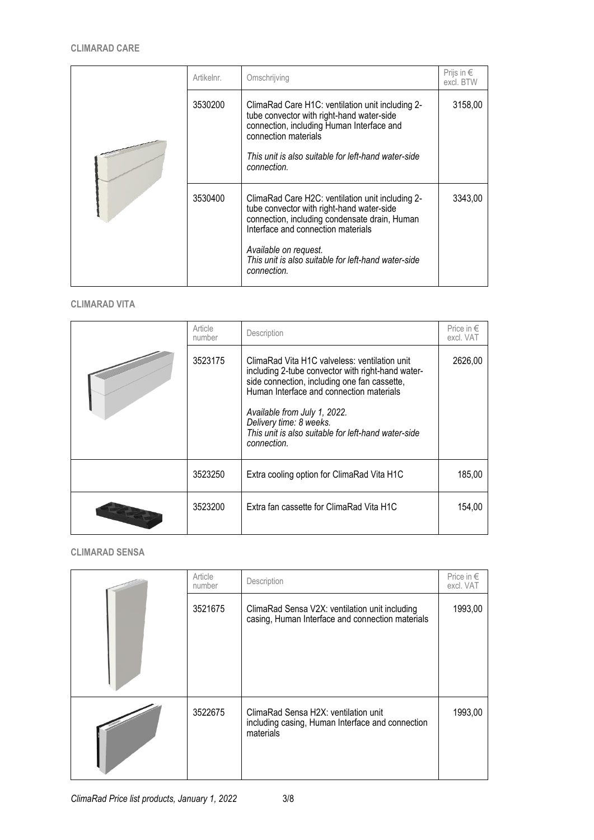|  | Artikelnr. | Omschrijving                                                                                                                                                                                                                                                                        | Prijs in $\epsilon$<br>excl. BTW |
|--|------------|-------------------------------------------------------------------------------------------------------------------------------------------------------------------------------------------------------------------------------------------------------------------------------------|----------------------------------|
|  | 3530200    | ClimaRad Care H1C: ventilation unit including 2-<br>tube convector with right-hand water-side<br>connection, including Human Interface and<br>connection materials<br>This unit is also suitable for left-hand water-side<br>connection.                                            | 3158,00                          |
|  | 3530400    | ClimaRad Care H2C: ventilation unit including 2-<br>tube convector with right-hand water-side<br>connection, including condensate drain, Human<br>Interface and connection materials<br>Available on request.<br>This unit is also suitable for left-hand water-side<br>connection. | 3343.00                          |

#### **CLIMARAD VITA**

| Article<br>number | Description                                                                                                                                                                                                                                                                                                                     | Price in $\epsilon$<br>excl. VAT |
|-------------------|---------------------------------------------------------------------------------------------------------------------------------------------------------------------------------------------------------------------------------------------------------------------------------------------------------------------------------|----------------------------------|
| 3523175           | ClimaRad Vita H1C valveless: ventilation unit<br>including 2-tube convector with right-hand water-<br>side connection, including one fan cassette,<br>Human Interface and connection materials<br>Available from July 1, 2022.<br>Delivery time: 8 weeks.<br>This unit is also suitable for left-hand water-side<br>connection. | 2626,00                          |
| 3523250           | Extra cooling option for ClimaRad Vita H1C                                                                                                                                                                                                                                                                                      | 185,00                           |
| 3523200           | Extra fan cassette for ClimaRad Vita H1C                                                                                                                                                                                                                                                                                        | 154,00                           |

### **CLIMARAD SENSA**

| Article<br>number | Description                                                                                           | Price in $\epsilon$<br>excl. VAT |
|-------------------|-------------------------------------------------------------------------------------------------------|----------------------------------|
| 3521675           | ClimaRad Sensa V2X: ventilation unit including<br>casing, Human Interface and connection materials    | 1993,00                          |
| 3522675           | ClimaRad Sensa H2X: ventilation unit<br>including casing, Human Interface and connection<br>materials | 1993,00                          |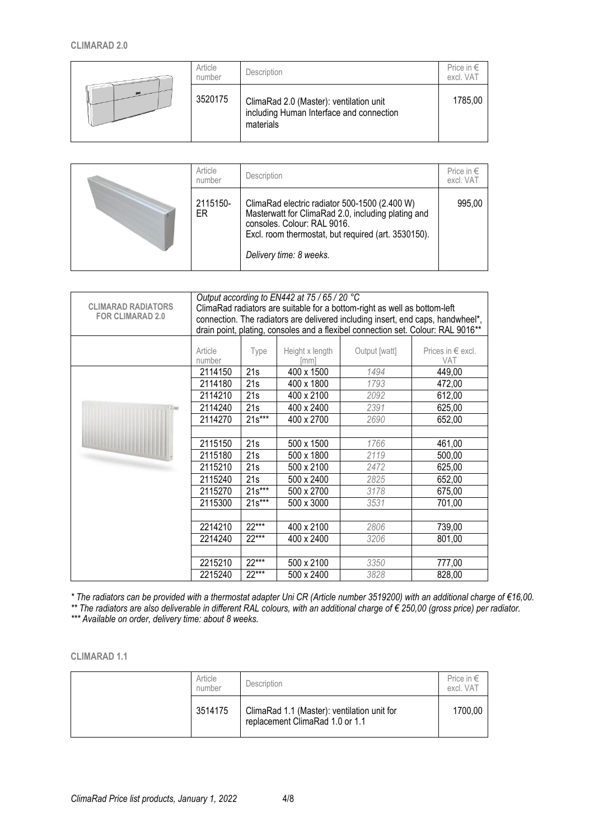#### **CLIMARAD 2.0**

|  | Article<br>number | Description                                                                                      | Price in $\in$<br>excl. VAT |
|--|-------------------|--------------------------------------------------------------------------------------------------|-----------------------------|
|  | 3520175           | ClimaRad 2.0 (Master): ventilation unit<br>including Human Interface and connection<br>materials | 1785,00                     |

| Article<br>number | Description                                                                                                                                                                                                          | Price in $\in$<br>excl. VAT |
|-------------------|----------------------------------------------------------------------------------------------------------------------------------------------------------------------------------------------------------------------|-----------------------------|
| 2115150-<br>ER    | ClimaRad electric radiator 500-1500 (2.400 W)<br>Masterwatt for ClimaRad 2.0, including plating and<br>consoles. Colour: RAL 9016.<br>Excl. room thermostat, but required (art. 3530150).<br>Delivery time: 8 weeks. | 995.00                      |

|                           |                                                                           |                                                                                 | Output according to EN442 at 75 / 65 / 20 $^{\circ}$ C |               |                                                                                  |  |
|---------------------------|---------------------------------------------------------------------------|---------------------------------------------------------------------------------|--------------------------------------------------------|---------------|----------------------------------------------------------------------------------|--|
| <b>CLIMARAD RADIATORS</b> | ClimaRad radiators are suitable for a bottom-right as well as bottom-left |                                                                                 |                                                        |               |                                                                                  |  |
| <b>FOR CLIMARAD 2.0</b>   |                                                                           | connection. The radiators are delivered including insert, end caps, handwheel*, |                                                        |               |                                                                                  |  |
|                           |                                                                           |                                                                                 |                                                        |               | drain point, plating, consoles and a flexibel connection set. Colour: RAL 9016** |  |
|                           |                                                                           |                                                                                 |                                                        |               |                                                                                  |  |
|                           | Article                                                                   | Type                                                                            | Height x length                                        | Output [watt] | Prices in $\epsilon$ excl.                                                       |  |
|                           | number                                                                    |                                                                                 | [mm]                                                   |               | <b>VAT</b>                                                                       |  |
|                           | 2114150                                                                   | 21s                                                                             | 400 x 1500                                             | 1494          | 449,00                                                                           |  |
|                           | 2114180                                                                   | 21s                                                                             | 400 x 1800                                             | 1793          | 472,00                                                                           |  |
|                           | 2114210                                                                   | 21s                                                                             | 400 x 2100                                             | 2092          | 612,00                                                                           |  |
| 2.000                     | 2114240                                                                   | 21s                                                                             | 400 x 2400                                             | 2391          | 625,00                                                                           |  |
|                           | 2114270                                                                   | $21s***$                                                                        | 400 x 2700                                             | 2690          | 652,00                                                                           |  |
|                           |                                                                           |                                                                                 |                                                        |               |                                                                                  |  |
|                           | 2115150                                                                   | 21s                                                                             | 500 x 1500                                             | 1766          | 461,00                                                                           |  |
|                           | 2115180                                                                   | 21s                                                                             | 500 x 1800                                             | 2119          | 500,00                                                                           |  |
|                           | 2115210                                                                   | 21s                                                                             | 500 x 2100                                             | 2472          | 625,00                                                                           |  |
|                           | 2115240                                                                   | 21s                                                                             | 500 x 2400                                             | 2825          | 652,00                                                                           |  |
|                           | 2115270                                                                   | $21s***$                                                                        | 500 x 2700                                             | 3178          | 675,00                                                                           |  |
|                           | 2115300                                                                   | $21s***$                                                                        | 500 x 3000                                             | 3531          | 701,00                                                                           |  |
|                           |                                                                           |                                                                                 |                                                        |               |                                                                                  |  |
|                           | 2214210                                                                   | $22***$                                                                         | 400 x 2100                                             | 2806          | 739,00                                                                           |  |
|                           | 2214240                                                                   | 22***                                                                           | 400 x 2400                                             | 3206          | 801,00                                                                           |  |
|                           |                                                                           |                                                                                 |                                                        |               |                                                                                  |  |
|                           | 2215210                                                                   | 22***                                                                           | 500 x 2100                                             | 3350          | 777,00                                                                           |  |
|                           | 2215240                                                                   | 22***                                                                           | 500 x 2400                                             | 3828          | 828,00                                                                           |  |

*\* The radiators can be provided with a thermostat adapter Uni CR (Article number 3519200) with an additional charge of €16,00. \*\* The radiators are also deliverable in different RAL colours, with an additional charge of € 250,00 (gross price) per radiator. \*\*\* Available on order, delivery time: about 8 weeks.*

**CLIMARAD 1.1**

| Article<br>number | Description                                                                    | Price in $\epsilon$<br>excl. VAT |
|-------------------|--------------------------------------------------------------------------------|----------------------------------|
| 3514175           | ClimaRad 1.1 (Master): ventilation unit for<br>replacement ClimaRad 1.0 or 1.1 | 1700,00                          |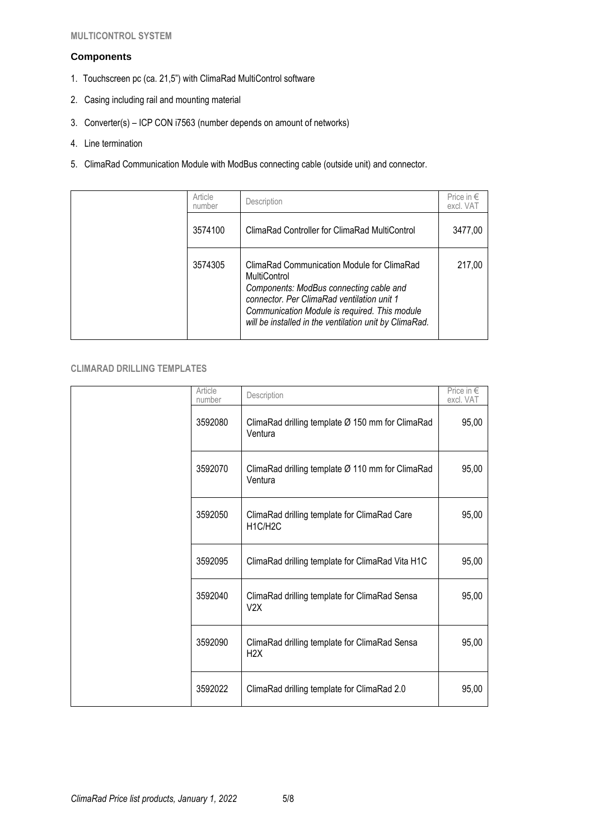#### **Components**

- 1. Touchscreen pc (ca. 21,5") with ClimaRad MultiControl software
- 2. Casing including rail and mounting material
- 3. Converter(s) ICP CON i7563 (number depends on amount of networks)
- 4. Line termination
- 5. ClimaRad Communication Module with ModBus connecting cable (outside unit) and connector.

| Article<br>number | Description                                                                                                                                                                                                                                                    | Price in $\epsilon$<br>excl. VAT |
|-------------------|----------------------------------------------------------------------------------------------------------------------------------------------------------------------------------------------------------------------------------------------------------------|----------------------------------|
| 3574100           | ClimaRad Controller for ClimaRad MultiControl                                                                                                                                                                                                                  | 3477.00                          |
| 3574305           | ClimaRad Communication Module for ClimaRad<br>MultiControl<br>Components: ModBus connecting cable and<br>connector. Per ClimaRad ventilation unit 1<br>Communication Module is required. This module<br>will be installed in the ventilation unit by ClimaRad. | 217.00                           |

## **CLIMARAD DRILLING TEMPLATES**

| Article<br>number | Description                                                       | Price in $\in$<br>excl. VAT |
|-------------------|-------------------------------------------------------------------|-----------------------------|
| 3592080           | ClimaRad drilling template Ø 150 mm for ClimaRad<br>Ventura       | 95,00                       |
| 3592070           | ClimaRad drilling template Ø 110 mm for ClimaRad<br>Ventura       | 95,00                       |
| 3592050           | ClimaRad drilling template for ClimaRad Care<br>H1C/H2C           | 95,00                       |
| 3592095           | ClimaRad drilling template for ClimaRad Vita H1C                  | 95,00                       |
| 3592040           | ClimaRad drilling template for ClimaRad Sensa<br>V2X              | 95,00                       |
| 3592090           | ClimaRad drilling template for ClimaRad Sensa<br>H <sub>2</sub> X | 95,00                       |
| 3592022           | ClimaRad drilling template for ClimaRad 2.0                       | 95,00                       |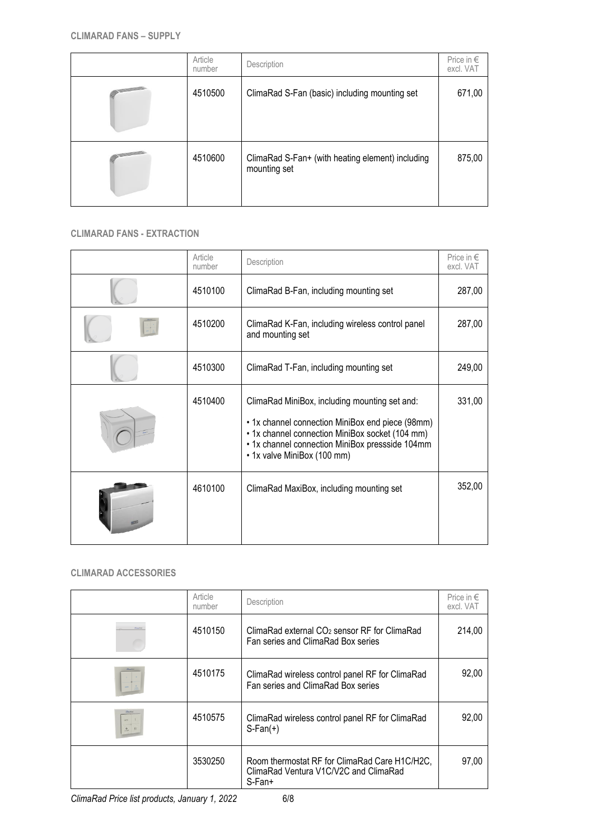|                   | Article<br>number | Description                                                      | Price in $\in$<br>excl. VAT |
|-------------------|-------------------|------------------------------------------------------------------|-----------------------------|
| <b>STATISTICS</b> | 4510500           | ClimaRad S-Fan (basic) including mounting set                    | 671,00                      |
|                   |                   |                                                                  |                             |
|                   | 4510600           | ClimaRad S-Fan+ (with heating element) including<br>mounting set | 875,00                      |

## **CLIMARAD FANS - EXTRACTION**

| Article<br>number | Description                                                                                                                                                                                                                            | Price in $\in$<br>excl. VAT |
|-------------------|----------------------------------------------------------------------------------------------------------------------------------------------------------------------------------------------------------------------------------------|-----------------------------|
| 4510100           | ClimaRad B-Fan, including mounting set                                                                                                                                                                                                 | 287,00                      |
| 4510200           | ClimaRad K-Fan, including wireless control panel<br>and mounting set                                                                                                                                                                   | 287,00                      |
| 4510300           | ClimaRad T-Fan, including mounting set                                                                                                                                                                                                 | 249,00                      |
| 4510400           | ClimaRad MiniBox, including mounting set and:<br>• 1x channel connection MiniBox end piece (98mm)<br>• 1x channel connection MiniBox socket (104 mm)<br>• 1x channel connection MiniBox pressside 104mm<br>• 1x valve MiniBox (100 mm) | 331,00                      |
| 4610100           | ClimaRad MaxiBox, including mounting set                                                                                                                                                                                               | 352,00                      |

## **CLIMARAD ACCESSORIES**

|              | Article<br>number | Description                                                                                        | Price in €<br>excl. VAT |
|--------------|-------------------|----------------------------------------------------------------------------------------------------|-------------------------|
|              | 4510150           | ClimaRad external CO <sub>2</sub> sensor RF for ClimaRad<br>Fan series and ClimaRad Box series     | 214,00                  |
|              | 4510175           | ClimaRad wireless control panel RF for ClimaRad<br>Fan series and ClimaRad Box series              | 92,00                   |
| $\mathbb{R}$ | 4510575           | ClimaRad wireless control panel RF for ClimaRad<br>$S-Fan(+)$                                      | 92,00                   |
|              | 3530250           | Room thermostat RF for ClimaRad Care H1C/H2C,<br>ClimaRad Ventura V1C/V2C and ClimaRad<br>$S-Fan+$ | 97,00                   |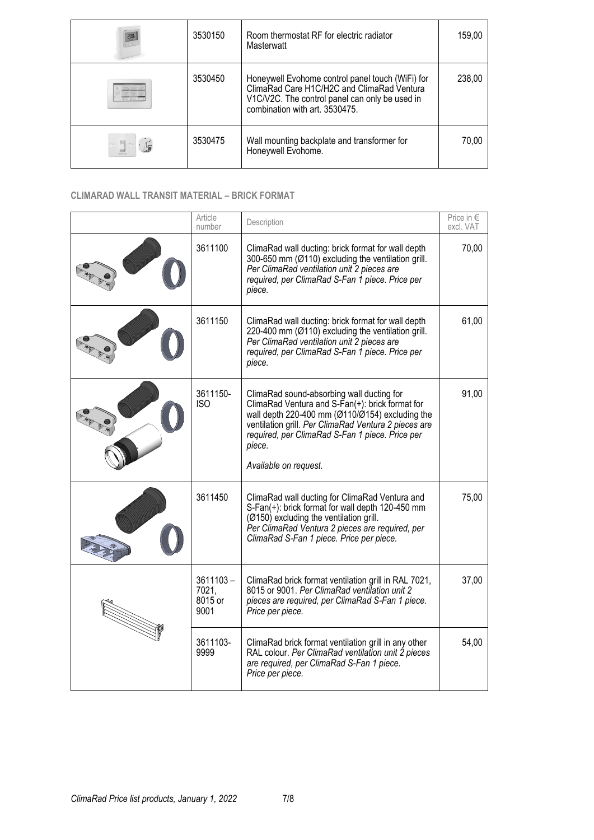| <b>200</b>                                                                                                                                               | 3530150 | Room thermostat RF for electric radiator<br>Masterwatt                                                                                                                             | 159.00 |
|----------------------------------------------------------------------------------------------------------------------------------------------------------|---------|------------------------------------------------------------------------------------------------------------------------------------------------------------------------------------|--------|
|                                                                                                                                                          | 3530450 | Honeywell Evohome control panel touch (WiFi) for<br>ClimaRad Care H1C/H2C and ClimaRad Ventura<br>V1C/V2C. The control panel can only be used in<br>combination with art. 3530475. | 238,00 |
| $\label{eq:3} \mathcal{C} = \begin{bmatrix} \mathbf{m} \\ \mathbf{m} \end{bmatrix} \mathcal{C} = \begin{bmatrix} \mathbf{m} \\ \mathbf{m} \end{bmatrix}$ | 3530475 | Wall mounting backplate and transformer for<br>Honeywell Evohome.                                                                                                                  | 70,00  |

# **CLIMARAD WALL TRANSIT MATERIAL – BRICK FORMAT**

|    | Article<br>number                       | Description                                                                                                                                                                                                                                                                                               | Price in $\in$<br>excl. VAT |
|----|-----------------------------------------|-----------------------------------------------------------------------------------------------------------------------------------------------------------------------------------------------------------------------------------------------------------------------------------------------------------|-----------------------------|
|    | 3611100                                 | ClimaRad wall ducting: brick format for wall depth<br>300-650 mm (Ø110) excluding the ventilation grill.<br>Per ClimaRad ventilation unit 2 pieces are<br>required, per ClimaRad S-Fan 1 piece. Price per<br>piece.                                                                                       | 70,00                       |
|    | 3611150                                 | ClimaRad wall ducting: brick format for wall depth<br>220-400 mm (Ø110) excluding the ventilation grill.<br>Per ClimaRad ventilation unit 2 pieces are<br>required, per ClimaRad S-Fan 1 piece. Price per<br>piece.                                                                                       | 61,00                       |
|    | 3611150-<br><b>ISO</b>                  | ClimaRad sound-absorbing wall ducting for<br>ClimaRad Ventura and $S\text{-Fan}(+)$ : brick format for<br>wall depth 220-400 mm $(Ø110/Ø154)$ excluding the<br>ventilation grill. Per ClimaRad Ventura 2 pieces are<br>required, per ClimaRad S-Fan 1 piece. Price per<br>piece.<br>Available on request. | 91,00                       |
|    | 3611450                                 | ClimaRad wall ducting for ClimaRad Ventura and<br>S-Fan(+): brick format for wall depth 120-450 mm<br>(Ø150) excluding the ventilation grill.<br>Per ClimaRad Ventura 2 pieces are required, per<br>ClimaRad S-Fan 1 piece. Price per piece.                                                              | 75,00                       |
| W. | $3611103 -$<br>7021,<br>8015 or<br>9001 | ClimaRad brick format ventilation grill in RAL 7021,<br>8015 or 9001. Per ClimaRad ventilation unit 2<br>pieces are required, per ClimaRad S-Fan 1 piece.<br>Price per piece.                                                                                                                             | 37,00                       |
|    | 3611103-<br>9999                        | ClimaRad brick format ventilation grill in any other<br>RAL colour. Per ClimaRad ventilation unit 2 pieces<br>are required, per ClimaRad S-Fan 1 piece.<br>Price per piece.                                                                                                                               | 54,00                       |